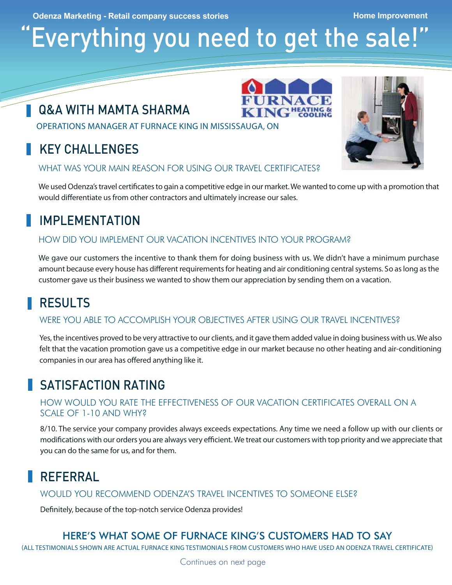**Odenza Marketing - Retail company success stories <b>Alternative Company Structure Company** Home Improvement

# Everything you need to get the sale!

### Q&A with Mamta Sharma

Operations Manager at Furnace King in Mississauga, ON

### Key Challenges

WHAT WAS YOUR MAIN REASON FOR USING OUR TRAVEL CERTIFICATES?

We used Odenza's travel certificates to gain a competitive edge in our market. We wanted to come up with a promotion that would differentiate us from other contractors and ultimately increase our sales.

**KING HEATING &** 

### Implementation

#### How did you implement our vacation incentives into your program?

We gave our customers the incentive to thank them for doing business with us. We didn't have a minimum purchase amount because every house has different requirements for heating and air conditioning central systems. So as long as the customer gave us their business we wanted to show them our appreciation by sending them on a vacation.

### **RESULTS**

#### Were you able to accomplish your objectives after using our travel incentives?

Yes, the incentives proved to be very attractive to our clients, and it gave them added value in doing business with us. We also felt that the vacation promotion gave us a competitive edge in our market because no other heating and air-conditioning companies in our area has offered anything like it.

### Satisfaction Rating

#### How would you rate the effectiveness of our vacation certificates overall on a scale of 1-10 and why?

8/10. The service your company provides always exceeds expectations. Any time we need a follow up with our clients or modifications with our orders you are always very efficient. We treat our customers with top priority and we appreciate that you can do the same for us, and for them.

### Referral

Would you recommend Odenza's travel incentives to someone else?

Definitely, because of the top-notch service Odenza provides!

### Here's what some of Furnace King's customers had to say

(All testimonials shown are actual Furnace King testimonials from customers who have used an Odenza travel certificate)

Continues on next page